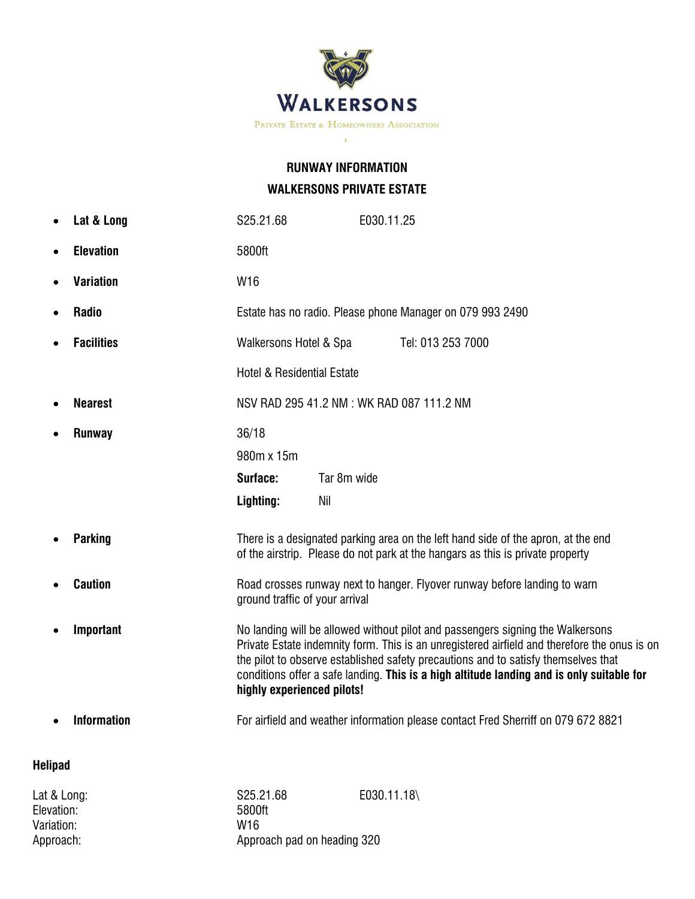

## **RUNWAY INFORMATION WALKERSONS PRIVATE ESTATE**

|                | Lat & Long         | S25.21.68                                                                                                                                                                                                                                                                                                                                                                                       |                    | E030.11.25        |
|----------------|--------------------|-------------------------------------------------------------------------------------------------------------------------------------------------------------------------------------------------------------------------------------------------------------------------------------------------------------------------------------------------------------------------------------------------|--------------------|-------------------|
|                | <b>Elevation</b>   | 5800ft                                                                                                                                                                                                                                                                                                                                                                                          |                    |                   |
|                | <b>Variation</b>   | W16                                                                                                                                                                                                                                                                                                                                                                                             |                    |                   |
|                | <b>Radio</b>       | Estate has no radio. Please phone Manager on 079 993 2490                                                                                                                                                                                                                                                                                                                                       |                    |                   |
|                | <b>Facilities</b>  | Walkersons Hotel & Spa                                                                                                                                                                                                                                                                                                                                                                          |                    | Tel: 013 253 7000 |
|                |                    | <b>Hotel &amp; Residential Estate</b>                                                                                                                                                                                                                                                                                                                                                           |                    |                   |
|                | <b>Nearest</b>     | NSV RAD 295 41.2 NM : WK RAD 087 111.2 NM                                                                                                                                                                                                                                                                                                                                                       |                    |                   |
|                | <b>Runway</b>      | 36/18<br>980m x 15m<br>Surface:<br>Lighting:                                                                                                                                                                                                                                                                                                                                                    | Tar 8m wide<br>Nil |                   |
|                | <b>Parking</b>     | There is a designated parking area on the left hand side of the apron, at the end<br>of the airstrip. Please do not park at the hangars as this is private property                                                                                                                                                                                                                             |                    |                   |
|                | <b>Caution</b>     | Road crosses runway next to hanger. Flyover runway before landing to warn<br>ground traffic of your arrival                                                                                                                                                                                                                                                                                     |                    |                   |
|                | Important          | No landing will be allowed without pilot and passengers signing the Walkersons<br>Private Estate indemnity form. This is an unregistered airfield and therefore the onus is on<br>the pilot to observe established safety precautions and to satisfy themselves that<br>conditions offer a safe landing. This is a high altitude landing and is only suitable for<br>highly experienced pilots! |                    |                   |
|                | <b>Information</b> | For airfield and weather information please contact Fred Sherriff on 079 672 8821                                                                                                                                                                                                                                                                                                               |                    |                   |
| <b>Helipad</b> |                    |                                                                                                                                                                                                                                                                                                                                                                                                 |                    |                   |

Elevation: 5800<br>Variation: 5800<br>Variation: 5800 Variation:<br>Approach:

Lat & Long: <br>Elevation: S25.21.68 E030.11.18\<br>5800ft 5800ft Approach: Approach pad on heading 320